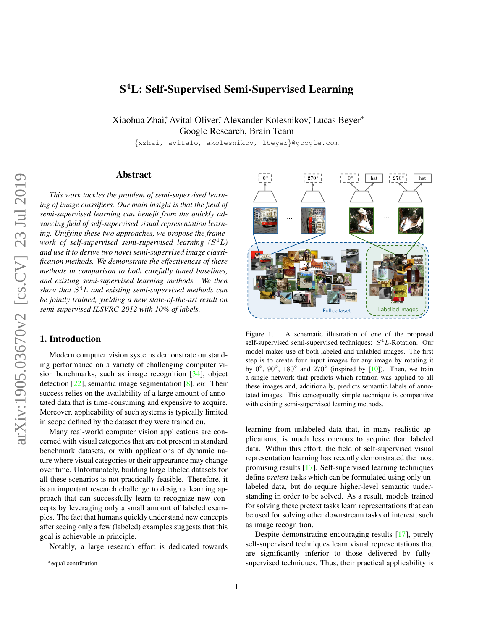# <span id="page-0-1"></span>S <sup>4</sup>L: Self-Supervised Semi-Supervised Learning

Xiaohua Zhai\*, Avital Oliver\*, Alexander Kolesnikov\*, Lucas Beyer\* Google Research, Brain Team

{xzhai, avitalo, akolesnikov, lbeyer}@google.com

## Abstract

*This work tackles the problem of semi-supervised learning of image classifiers. Our main insight is that the field of semi-supervised learning can benefit from the quickly advancing field of self-supervised visual representation learning. Unifying these two approaches, we propose the framework of self-supervised semi-supervised learning (*S <sup>4</sup>L*) and use it to derive two novel semi-supervised image classification methods. We demonstrate the effectiveness of these methods in comparison to both carefully tuned baselines, and existing semi-supervised learning methods. We then show that* S <sup>4</sup>L *and existing semi-supervised methods can be jointly trained, yielding a new state-of-the-art result on semi-supervised ILSVRC-2012 with 10% of labels.*

## 1. Introduction

Modern computer vision systems demonstrate outstanding performance on a variety of challenging computer vision benchmarks, such as image recognition [\[34\]](#page-9-0), object detection [\[22\]](#page-8-0), semantic image segmentation [\[8\]](#page-8-1), *etc*. Their success relies on the availability of a large amount of annotated data that is time-consuming and expensive to acquire. Moreover, applicability of such systems is typically limited in scope defined by the dataset they were trained on.

Many real-world computer vision applications are concerned with visual categories that are not present in standard benchmark datasets, or with applications of dynamic nature where visual categories or their appearance may change over time. Unfortunately, building large labeled datasets for all these scenarios is not practically feasible. Therefore, it is an important research challenge to design a learning approach that can successfully learn to recognize new concepts by leveraging only a small amount of labeled examples. The fact that humans quickly understand new concepts after seeing only a few (labeled) examples suggests that this goal is achievable in principle.

Notably, a large research effort is dedicated towards



Figure 1. A schematic illustration of one of the proposed self-supervised semi-supervised techniques:  $S<sup>4</sup>L$ -Rotation. Our model makes use of both labeled and unlabled images. The first step is to create four input images for any image by rotating it by  $0^\circ$ ,  $90^\circ$ ,  $180^\circ$  and  $270^\circ$  (inspired by [\[10\]](#page-8-2)). Then, we train a single network that predicts which rotation was applied to all these images and, additionally, predicts semantic labels of annotated images. This conceptually simple technique is competitive with existing semi-supervised learning methods.

<span id="page-0-0"></span>learning from unlabeled data that, in many realistic applications, is much less onerous to acquire than labeled data. Within this effort, the field of self-supervised visual representation learning has recently demonstrated the most promising results [\[17\]](#page-8-3). Self-supervised learning techniques define *pretext* tasks which can be formulated using only unlabeled data, but do require higher-level semantic understanding in order to be solved. As a result, models trained for solving these pretext tasks learn representations that can be used for solving other downstream tasks of interest, such as image recognition.

Despite demonstrating encouraging results [\[17\]](#page-8-3), purely self-supervised techniques learn visual representations that are significantly inferior to those delivered by fullysupervised techniques. Thus, their practical applicability is

<sup>∗</sup>equal contribution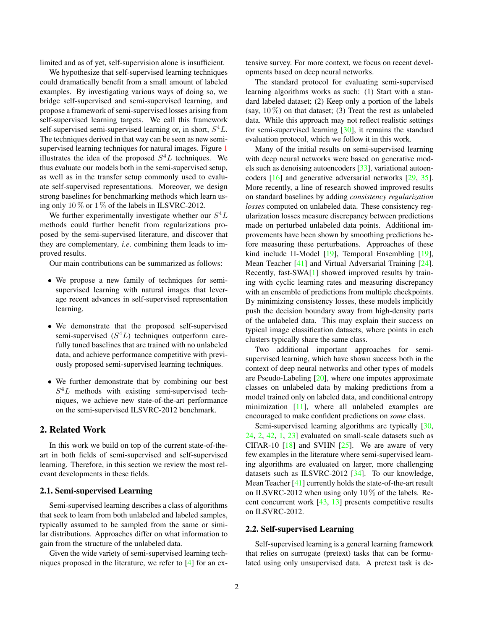<span id="page-1-0"></span>limited and as of yet, self-supervision alone is insufficient.

We hypothesize that self-supervised learning techniques could dramatically benefit from a small amount of labeled examples. By investigating various ways of doing so, we bridge self-supervised and semi-supervised learning, and propose a framework of semi-supervised losses arising from self-supervised learning targets. We call this framework self-supervised semi-supervised learning or, in short,  $S^4L$ . The techniques derived in that way can be seen as new semisupervised learning techniques for natural images. Figure [1](#page-0-0) illustrates the idea of the proposed  $S<sup>4</sup>L$  techniques. We thus evaluate our models both in the semi-supervised setup, as well as in the transfer setup commonly used to evaluate self-supervised representations. Moreover, we design strong baselines for benchmarking methods which learn using only  $10\%$  or  $1\%$  of the labels in ILSVRC-2012.

We further experimentally investigate whether our  $S^4L$ methods could further benefit from regularizations proposed by the semi-supervised literature, and discover that they are complementary, *i.e*. combining them leads to improved results.

Our main contributions can be summarized as follows:

- We propose a new family of techniques for semisupervised learning with natural images that leverage recent advances in self-supervised representation learning.
- We demonstrate that the proposed self-supervised semi-supervised  $(S^4L)$  techniques outperform carefully tuned baselines that are trained with no unlabeled data, and achieve performance competitive with previously proposed semi-supervised learning techniques.
- We further demonstrate that by combining our best  $S<sup>4</sup>L$  methods with existing semi-supervised techniques, we achieve new state-of-the-art performance on the semi-supervised ILSVRC-2012 benchmark.

## 2. Related Work

In this work we build on top of the current state-of-theart in both fields of semi-supervised and self-supervised learning. Therefore, in this section we review the most relevant developments in these fields.

#### 2.1. Semi-supervised Learning

Semi-supervised learning describes a class of algorithms that seek to learn from both unlabeled and labeled samples, typically assumed to be sampled from the same or similar distributions. Approaches differ on what information to gain from the structure of the unlabeled data.

Given the wide variety of semi-supervised learning techniques proposed in the literature, we refer to [\[4\]](#page-8-4) for an extensive survey. For more context, we focus on recent developments based on deep neural networks.

The standard protocol for evaluating semi-supervised learning algorithms works as such: (1) Start with a standard labeled dataset; (2) Keep only a portion of the labels (say,  $10\%$ ) on that dataset; (3) Treat the rest as unlabeled data. While this approach may not reflect realistic settings for semi-supervised learning [\[30\]](#page-9-1), it remains the standard evaluation protocol, which we follow it in this work.

Many of the initial results on semi-supervised learning with deep neural networks were based on generative models such as denoising autoencoders [\[33\]](#page-9-2), variational autoencoders [\[16\]](#page-8-5) and generative adversarial networks [\[29,](#page-9-3) [35\]](#page-9-4). More recently, a line of research showed improved results on standard baselines by adding *consistency regularization losses* computed on unlabeled data. These consistency regularization losses measure discrepancy between predictions made on perturbed unlabeled data points. Additional improvements have been shown by smoothing predictions before measuring these perturbations. Approaches of these kind include Π-Model [\[19\]](#page-8-6), Temporal Ensembling [\[19\]](#page-8-6), Mean Teacher [\[41\]](#page-9-5) and Virtual Adversarial Training [\[24\]](#page-8-7). Recently, fast-SWA[\[1\]](#page-8-8) showed improved results by training with cyclic learning rates and measuring discrepancy with an ensemble of predictions from multiple checkpoints. By minimizing consistency losses, these models implicitly push the decision boundary away from high-density parts of the unlabeled data. This may explain their success on typical image classification datasets, where points in each clusters typically share the same class.

Two additional important approaches for semisupervised learning, which have shown success both in the context of deep neural networks and other types of models are Pseudo-Labeling [\[20\]](#page-8-9), where one imputes approximate classes on unlabeled data by making predictions from a model trained only on labeled data, and conditional entropy minimization [\[11\]](#page-8-10), where all unlabeled examples are encouraged to make confident predictions on *some* class.

Semi-supervised learning algorithms are typically [\[30,](#page-9-1) [24,](#page-8-7) [2,](#page-8-11) [42,](#page-9-6) [1,](#page-8-8) [23\]](#page-8-12) evaluated on small-scale datasets such as CIFAR-10  $[18]$  and SVHN  $[25]$ . We are aware of very few examples in the literature where semi-supervised learning algorithms are evaluated on larger, more challenging datasets such as ILSVRC-2012 [\[34\]](#page-9-0). To our knowledge, Mean Teacher [\[41\]](#page-9-5) currently holds the state-of-the-art result on ILSVRC-2012 when using only  $10\%$  of the labels. Recent concurrent work [\[43,](#page-9-8) [13\]](#page-8-14) presents competitive results on ILSVRC-2012.

#### 2.2. Self-supervised Learning

Self-supervised learning is a general learning framework that relies on surrogate (pretext) tasks that can be formulated using only unsupervised data. A pretext task is de-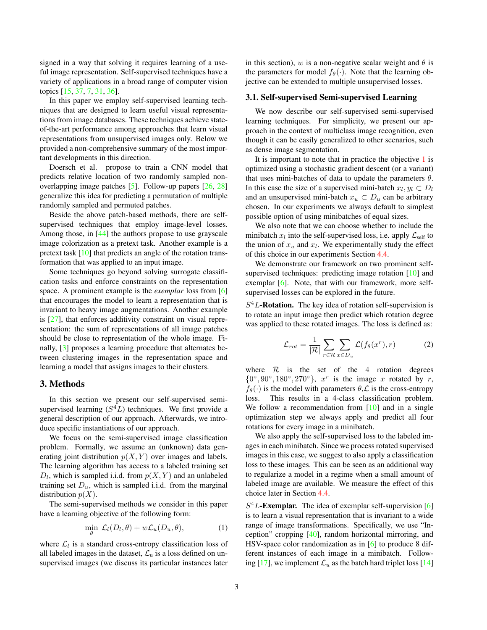<span id="page-2-2"></span>signed in a way that solving it requires learning of a useful image representation. Self-supervised techniques have a variety of applications in a broad range of computer vision topics [\[15,](#page-8-15) [37,](#page-9-9) [7,](#page-8-16) [31,](#page-9-10) [36\]](#page-9-11).

In this paper we employ self-supervised learning techniques that are designed to learn useful visual representations from image databases. These techniques achieve stateof-the-art performance among approaches that learn visual representations from unsupervised images only. Below we provided a non-comprehensive summary of the most important developments in this direction.

Doersch et al. propose to train a CNN model that predicts relative location of two randomly sampled nonoverlapping image patches [\[5\]](#page-8-17). Follow-up papers [\[26,](#page-9-12) [28\]](#page-9-13) generalize this idea for predicting a permutation of multiple randomly sampled and permuted patches.

Beside the above patch-based methods, there are selfsupervised techniques that employ image-level losses. Among those, in [\[44\]](#page-9-14) the authors propose to use grayscale image colorization as a pretext task. Another example is a pretext task [\[10\]](#page-8-2) that predicts an angle of the rotation transformation that was applied to an input image.

Some techniques go beyond solving surrogate classification tasks and enforce constraints on the representation space. A prominent example is the *exemplar* loss from [\[6\]](#page-8-18) that encourages the model to learn a representation that is invariant to heavy image augmentations. Another example is [\[27\]](#page-9-15), that enforces additivity constraint on visual representation: the sum of representations of all image patches should be close to representation of the whole image. Finally, [\[3\]](#page-8-19) proposes a learning procedure that alternates between clustering images in the representation space and learning a model that assigns images to their clusters.

## 3. Methods

In this section we present our self-supervised semisupervised learning  $(S^4L)$  techniques. We first provide a general description of our approach. Afterwards, we introduce specific instantiations of our approach.

We focus on the semi-supervised image classification problem. Formally, we assume an (unknown) data generating joint distribution  $p(X, Y)$  over images and labels. The learning algorithm has access to a labeled training set  $D_l$ , which is sampled i.i.d. from  $p(X, Y)$  and an unlabeled training set  $D<sub>u</sub>$ , which is sampled i.i.d. from the marginal distribution  $p(X)$ .

The semi-supervised methods we consider in this paper have a learning objective of the following form:

<span id="page-2-0"></span>
$$
\min_{\theta} \mathcal{L}_l(D_l, \theta) + w\mathcal{L}_u(D_u, \theta), \tag{1}
$$

where  $\mathcal{L}_l$  is a standard cross-entropy classification loss of all labeled images in the dataset,  $\mathcal{L}_{\mathrm{u}}$  is a loss defined on unsupervised images (we discuss its particular instances later in this section), w is a non-negative scalar weight and  $\theta$  is the parameters for model  $f_{\theta}(\cdot)$ . Note that the learning objective can be extended to multiple unsupervised losses.

#### <span id="page-2-1"></span>3.1. Self-supervised Semi-supervised Learning

We now describe our self-supervised semi-supervised learning techniques. For simplicity, we present our approach in the context of multiclass image recognition, even though it can be easily generalized to other scenarios, such as dense image segmentation.

It is important to note that in practice the objective [1](#page-2-0) is optimized using a stochastic gradient descent (or a variant) that uses mini-batches of data to update the parameters  $\theta$ . In this case the size of a supervised mini-batch  $x_l, y_l \subset D_l$ and an unsupervised mini-batch  $x_u \,\subset D_u$  can be arbitrary chosen. In our experiments we always default to simplest possible option of using minibatches of equal sizes.

We also note that we can choose whether to include the minibatch  $x_l$  into the self-supervised loss, i.e. apply  $\mathcal{L}_{\text{self}}$  to the union of  $x_u$  and  $x_l$ . We experimentally study the effect of this choice in our experiments Section [4.4.](#page-5-0)

We demonstrate our framework on two prominent self-supervised techniques: predicting image rotation [\[10\]](#page-8-2) and exemplar [\[6\]](#page-8-18). Note, that with our framework, more selfsupervised losses can be explored in the future.

 $S<sup>4</sup>L$ -Rotation. The key idea of rotation self-supervision is to rotate an input image then predict which rotation degree was applied to these rotated images. The loss is defined as:

$$
\mathcal{L}_{rot} = \frac{1}{|\mathcal{R}|} \sum_{r \in \mathcal{R}} \sum_{x \in D_u} \mathcal{L}(f_{\theta}(x^r), r)
$$
 (2)

where  $\mathcal{R}$  is the set of the 4 rotation degrees  $\{0^\circ, 90^\circ, 180^\circ, 270^\circ\}$ ,  $x^r$  is the image x rotated by r,  $f_{\theta}(\cdot)$  is the model with parameters  $\theta$ ,  $\mathcal{L}$  is the cross-entropy loss. This results in a 4-class classification problem. We follow a recommendation from  $[10]$  and in a single optimization step we always apply and predict all four rotations for every image in a minibatch.

We also apply the self-supervised loss to the labeled images in each minibatch. Since we process rotated supervised images in this case, we suggest to also apply a classification loss to these images. This can be seen as an additional way to regularize a model in a regime when a small amount of labeled image are available. We measure the effect of this choice later in Section [4.4.](#page-5-0)

 $S<sup>4</sup>L$ -Exemplar. The idea of exemplar self-supervision [\[6\]](#page-8-18) is to learn a visual representation that is invariant to a wide range of image transformations. Specifically, we use "Inception" cropping [\[40\]](#page-9-16), random horizontal mirroring, and HSV-space color randomization as in [\[6\]](#page-8-18) to produce 8 different instances of each image in a minibatch. Follow-ing [\[17\]](#page-8-3), we implement  $\mathcal{L}_u$  as the batch hard triplet loss [\[14\]](#page-8-20)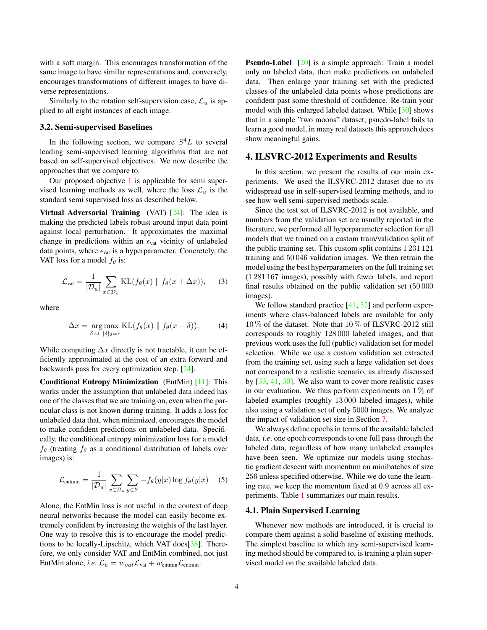<span id="page-3-1"></span>with a soft margin. This encourages transformation of the same image to have similar representations and, conversely, encourages transformations of different images to have diverse representations.

Similarly to the rotation self-supervision case,  $\mathcal{L}_u$  is applied to all eight instances of each image.

#### 3.2. Semi-supervised Baselines

In the following section, we compare  $S<sup>4</sup>L$  to several leading semi-supervised learning algorithms that are not based on self-supervised objectives. We now describe the approaches that we compare to.

Our proposed objective [1](#page-2-0) is applicable for semi supervised learning methods as well, where the loss  $\mathcal{L}_u$  is the standard semi supervised loss as described below.

**Virtual Adversarial Training** (VAT)  $[24]$ : The idea is making the predicted labels robust around input data point against local perturbation. It approximates the maximal change in predictions within an  $\epsilon_{\text{vat}}$  vicinity of unlabeled data points, where  $\epsilon_{\text{vat}}$  is a hyperparameter. Concretely, the VAT loss for a model  $f_{\theta}$  is:

$$
\mathcal{L}_{\text{vat}} = \frac{1}{|\mathcal{D}_u|} \sum_{x \in \mathcal{D}_u} \text{KL}(f_{\theta}(x) \parallel f_{\theta}(x + \Delta x)), \quad (3)
$$

where

$$
\Delta x = \underset{\delta \text{ s.t. } |\delta|_2 = \epsilon}{\arg \max} \text{KL}(f_{\theta}(x) \parallel f_{\theta}(x + \delta)). \tag{4}
$$

While computing  $\Delta x$  directly is not tractable, it can be efficiently approximated at the cost of an extra forward and backwards pass for every optimization step. [\[24\]](#page-8-7).

Conditional Entropy Minimization (EntMin) [\[11\]](#page-8-10): This works under the assumption that unlabeled data indeed has one of the classes that we are training on, even when the particular class is not known during training. It adds a loss for unlabeled data that, when minimized, encourages the model to make confident predictions on unlabeled data. Specifically, the conditional entropy minimization loss for a model  $f_{\theta}$  (treating  $f_{\theta}$  as a conditional distribution of labels over images) is:

$$
\mathcal{L}_{\text{entmin}} = \frac{1}{|\mathcal{D}_u|} \sum_{x \in \mathcal{D}_u} \sum_{y \in Y} -f_{\theta}(y|x) \log f_{\theta}(y|x) \quad (5)
$$

Alone, the EntMin loss is not useful in the context of deep neural networks because the model can easily become extremely confident by increasing the weights of the last layer. One way to resolve this is to encourage the model predictions to be locally-Lipschitz, which VAT does[\[38\]](#page-9-17). Therefore, we only consider VAT and EntMin combined, not just EntMin alone, *i.e.*  $\mathcal{L}_u = w_{vat} \mathcal{L}_{vat} + w_{entmin} \mathcal{L}_{entmin}$ .

Pseudo-Label [\[20\]](#page-8-9) is a simple approach: Train a model only on labeled data, then make predictions on unlabeled data. Then enlarge your training set with the predicted classes of the unlabeled data points whose predictions are confident past some threshold of confidence. Re-train your model with this enlarged labeled dataset. While [\[30\]](#page-9-1) shows that in a simple "two moons" dataset, psuedo-label fails to learn a good model, in many real datasets this approach does show meaningful gains.

## 4. ILSVRC-2012 Experiments and Results

In this section, we present the results of our main experiments. We used the ILSVRC-2012 dataset due to its widespread use in self-supervised learning methods, and to see how well semi-supervised methods scale.

Since the test set of ILSVRC-2012 is not available, and numbers from the validation set are usually reported in the literature, we performed all hyperparameter selection for all models that we trained on a custom train/validation split of the public training set. This custom split contains 1 231 121 training and 50 046 validation images. We then retrain the model using the best hyperparameters on the full training set (1 281 167 images), possibly with fewer labels, and report final results obtained on the public validation set (50 000 images).

We follow standard practice  $[41, 32]$  $[41, 32]$  $[41, 32]$  and perform experiments where class-balanced labels are available for only 10 % of the dataset. Note that 10 % of ILSVRC-2012 still corresponds to roughly 128 000 labeled images, and that previous work uses the full (public) validation set for model selection. While we use a custom validation set extracted from the training set, using such a large validation set does not correspond to a realistic scenario, as already discussed by [\[33,](#page-9-2) [41,](#page-9-5) [30\]](#page-9-1). We also want to cover more realistic cases in our evaluation. We thus perform experiments on  $1\%$  of labeled examples (roughly 13 000 labeled images), while also using a validation set of only 5000 images. We analyze the impact of validation set size in Section [7.](#page-7-0)

We always define epochs in terms of the available labeled data, *i.e*. one epoch corresponds to one full pass through the labeled data, regardless of how many unlabeled examples have been seen. We optimize our models using stochastic gradient descent with momentum on minibatches of size 256 unless specified otherwise. While we do tune the learning rate, we keep the momentum fixed at 0.9 across all experiments. Table [1](#page-4-0) summarizes our main results.

#### <span id="page-3-0"></span>4.1. Plain Supervised Learning

Whenever new methods are introduced, it is crucial to compare them against a solid baseline of existing methods. The simplest baseline to which any semi-supervised learning method should be compared to, is training a plain supervised model on the available labeled data.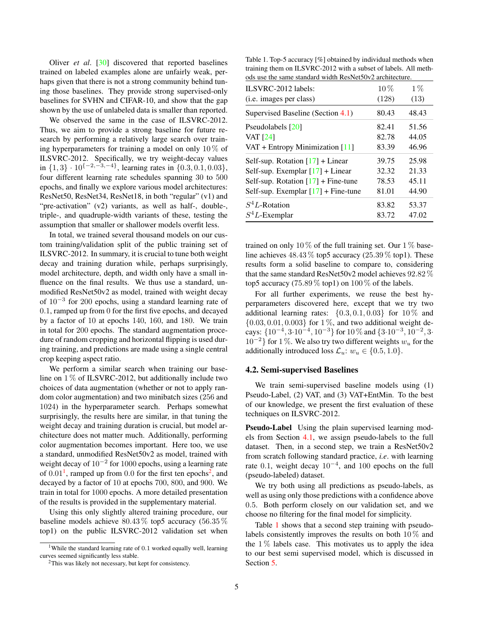<span id="page-4-3"></span>Oliver *et al*. [\[30\]](#page-9-1) discovered that reported baselines trained on labeled examples alone are unfairly weak, perhaps given that there is not a strong community behind tuning those baselines. They provide strong supervised-only baselines for SVHN and CIFAR-10, and show that the gap shown by the use of unlabeled data is smaller than reported.

We observed the same in the case of ILSVRC-2012. Thus, we aim to provide a strong baseline for future research by performing a relatively large search over training hyperparameters for training a model on only  $10\%$  of ILSVRC-2012. Specifically, we try weight-decay values in  $\{1,3\} \cdot 10^{\{-2,-3,-4\}}$ , learning rates in  $\{0.3, 0.1, 0.03\}$ , four different learning rate schedules spanning 30 to 500 epochs, and finally we explore various model architectures: ResNet50, ResNet34, ResNet18, in both "regular" (v1) and "pre-activation" (v2) variants, as well as half-, double-, triple-, and quadruple-width variants of these, testing the assumption that smaller or shallower models overfit less.

In total, we trained several thousand models on our custom training/validation split of the public training set of ILSVRC-2012. In summary, it is crucial to tune both weight decay and training duration while, perhaps surprisingly, model architecture, depth, and width only have a small influence on the final results. We thus use a standard, unmodified ResNet50v2 as model, trained with weight decay of 10<sup>-3</sup> for 200 epochs, using a standard learning rate of 0.1, ramped up from 0 for the first five epochs, and decayed by a factor of 10 at epochs 140, 160, and 180. We train in total for 200 epochs. The standard augmentation procedure of random cropping and horizontal flipping is used during training, and predictions are made using a single central crop keeping aspect ratio.

We perform a similar search when training our baseline on  $1\%$  of ILSVRC-2012, but additionally include two choices of data augmentation (whether or not to apply random color augmentation) and two minibatch sizes (256 and 1024) in the hyperparameter search. Perhaps somewhat surprisingly, the results here are similar, in that tuning the weight decay and training duration is crucial, but model architecture does not matter much. Additionally, performing color augmentation becomes important. Here too, we use a standard, unmodified ResNet50v2 as model, trained with weight decay of  $10^{-2}$  for 1000 epochs, using a learning rate of  $0.01<sup>1</sup>$  $0.01<sup>1</sup>$  $0.01<sup>1</sup>$ , ramped up from  $0.0$  for the first ten epochs<sup>[2](#page-4-2)</sup>, and decayed by a factor of 10 at epochs 700, 800, and 900. We train in total for 1000 epochs. A more detailed presentation of the results is provided in the supplementary material.

Using this only slightly altered training procedure, our baseline models achieve 80.43 % top5 accuracy (56.35 % top1) on the public ILSVRC-2012 validation set when

<span id="page-4-0"></span>Table 1. Top-5 accuracy [%] obtained by individual methods when training them on ILSVRC-2012 with a subset of labels. All methods use the same standard width ResNet50v2 architecture.

| $ILSVRC-2012$ labels:<br>(i.e. images per class) | $10\%$<br>(128) | $1\%$<br>(13) |
|--------------------------------------------------|-----------------|---------------|
| Supervised Baseline (Section 4.1)                | 80.43           | 48.43         |
| Pseudolabels [20]                                | 82.41           | 51.56         |
| <b>VAT</b> [24]                                  | 82.78           | 44.05         |
| VAT + Entropy Minimization $[11]$                | 83.39           | 46.96         |
| Self-sup. Rotation $[17]$ + Linear               | 39.75           | 25.98         |
| Self-sup. Exemplar $[17]$ + Linear               | 32.32           | 21.33         |
| Self-sup. Rotation $[17]$ + Fine-tune            | 78.53           | 45.11         |
| Self-sup. Exemplar $[17]$ + Fine-tune            | 81.01           | 44.90         |
| $S^4L$ -Rotation                                 | 83.82           | 53.37         |
| $S^4L$ -Exemplar                                 | 83.72           | 47.02         |

trained on only 10  $\%$  of the full training set. Our 1  $\%$  baseline achieves  $48.43\%$  top5 accuracy (25.39  $\%$  top1). These results form a solid baseline to compare to, considering that the same standard ResNet50v2 model achieves 92.82 % top5 accuracy (75.89  $\%$  top1) on 100  $\%$  of the labels.

For all further experiments, we reuse the best hyperparameters discovered here, except that we try two additional learning rates:  $\{0.3, 0.1, 0.03\}$  for  $10\%$  and  ${0.03, 0.01, 0.003}$  for  $1\%$ , and two additional weight decays:  $\{10^{-4}, 3 \cdot 10^{-4}, 10^{-3}\}$  for  $10\%$  and  $\{3 \cdot 10^{-3}, 10^{-2}, 3 \cdot$  $10^{-2}$ } for 1 %. We also try two different weights  $w_u$  for the additionally introduced loss  $\mathcal{L}_u$ :  $w_u \in \{0.5, 1.0\}$ .

#### 4.2. Semi-supervised Baselines

We train semi-supervised baseline models using (1) Pseudo-Label, (2) VAT, and (3) VAT+EntMin. To the best of our knowledge, we present the first evaluation of these techniques on ILSVRC-2012.

Pseudo-Label Using the plain supervised learning models from Section [4.1,](#page-3-0) we assign pseudo-labels to the full dataset. Then, in a second step, we train a ResNet50v2 from scratch following standard practice, *i.e*. with learning rate 0.1, weight decay  $10^{-4}$ , and 100 epochs on the full (pseudo-labeled) dataset.

We try both using all predictions as pseudo-labels, as well as using only those predictions with a confidence above 0.5. Both perform closely on our validation set, and we choose no filtering for the final model for simplicity.

Table [1](#page-4-0) shows that a second step training with pseudolabels consistently improves the results on both 10 % and the  $1\%$  labels case. This motivates us to apply the idea to our best semi supervised model, which is discussed in Section [5.](#page-5-1)

<span id="page-4-1"></span><sup>&</sup>lt;sup>1</sup>While the standard learning rate of 0.1 worked equally well, learning curves seemed significantly less stable.

<span id="page-4-2"></span><sup>2</sup>This was likely not necessary, but kept for consistency.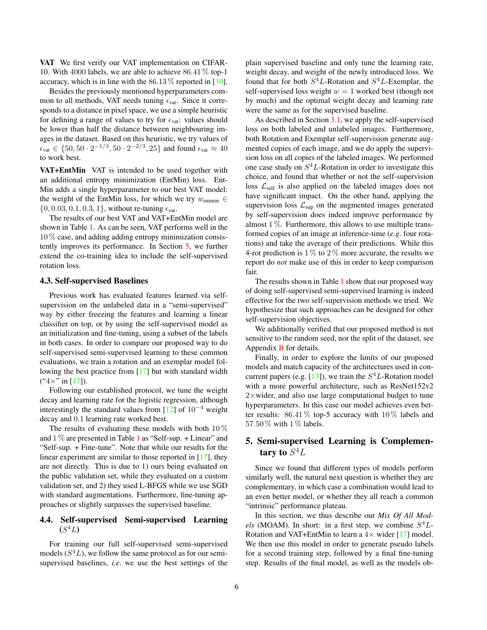<span id="page-5-2"></span>VAT We first verify our VAT implementation on CIFAR-10. With 4000 labels, we are able to achieve 86.41 % top-1 accuracy, which is in line with the  $86.13\%$  reported in [\[30\]](#page-9-1).

Besides the previously mentioned hyperparameters common to all methods, VAT needs tuning  $\epsilon_{\text{vat}}$ . Since it corresponds to a distance in pixel space, we use a simple heuristic for defining a range of values to try for  $\epsilon_{\text{vat}}$ : values should be lower than half the distance between neighbouring images in the dataset. Based on this heuristic, we try values of  $\epsilon_{\text{vat}} \in \{50, 50 \cdot 2^{-1/3}, 50 \cdot 2^{-2/3}, 25\}$  and found  $\epsilon_{\text{vat}} \approx 40$ to work best.

VAT+EntMin VAT is intended to be used together with an additional entropy minimization (EntMin) loss. Ent-Min adds a single hyperparameter to our best VAT model: the weight of the EntMin loss, for which we try  $w_{\text{entmin}} \in$  $\{0, 0.03, 0.1, 0.3, 1\}$ , without re-tuning  $\epsilon_{\text{vat}}$ .

The results of our best VAT and VAT+EntMin model are shown in Table [1.](#page-4-0) As can be seen, VAT performs well in the  $10\%$  case, and adding adding entropy minimization consistently improves its performance. In Section [5,](#page-5-1) we further extend the co-training idea to include the self-supervised rotation loss.

#### 4.3. Self-supervised Baselines

Previous work has evaluated features learned via selfsupervision on the unlabeled data in a "semi-supervised" way by either freezing the features and learning a linear classifier on top, or by using the self-supervised model as an initialization and fine-tuning, using a subset of the labels in both cases. In order to compare our proposed way to do self-supervised semi-supervised learning to these common evaluations, we train a rotation and an exemplar model following the best practice from [\[17\]](#page-8-3) but with standard width  $(*4 \times " in [17]).$  $(*4 \times " in [17]).$  $(*4 \times " in [17]).$ 

Following our established protocol, we tune the weight decay and learning rate for the logistic regression, although interestingly the standard values from  $[12]$  of  $10^{-4}$  weight decay and 0.1 learning rate worked best.

The results of evaluating these models with both  $10\%$ and  $1\%$  $1\%$  are presented in Table 1 as "Self-sup. + Linear" and "Self-sup. + Fine-tune". Note that while our results for the linear experiment are similar to those reported in [\[17\]](#page-8-3), they are not directly. This is due to 1) ours being evaluated on the public validation set, while they evaluated on a custom validation set, and 2) they used L-BFGS while we use SGD with standard augmentations. Furthermore, fine-tuning approaches or slightly surpasses the supervised baseline.

## <span id="page-5-0"></span>4.4. Self-supervised Semi-supervised Learning  $(S^4L)$

For training our full self-supervised semi-supervised models  $(S^4L)$ , we follow the same protocol as for our semisupervised baselines, *i.e*. we use the best settings of the plain supervised baseline and only tune the learning rate, weight decay, and weight of the newly introduced loss. We found that for both  $S^4L$ -Rotation and  $S^4L$ -Exemplar, the self-supervised loss weight  $w = 1$  worked best (though not by much) and the optimal weight decay and learning rate were the same as for the supervised baseline.

As described in Section [3.1,](#page-2-1) we apply the self-supervised loss on both labeled and unlabeled images. Furthermore, both Rotation and Exemplar self-supervision generate augmented copies of each image, and we do apply the supervision loss on all copies of the labeled images. We performed one case study on  $S<sup>4</sup>L$ -Rotation in order to investigate this choice, and found that whether or not the self-supervision loss  $\mathcal{L}_{\text{self}}$  is also applied on the labeled images does not have significant impact. On the other hand, applying the supervision loss  $\mathcal{L}_{\text{sup}}$  on the augmented images generated by self-supervision does indeed improve performance by almost  $1\%$ . Furthermore, this allows to use multiple transformed copies of an image at inference-time (*e.g*. four rotations) and take the average of their predictions. While this 4-rot prediction is  $1\%$  to  $2\%$  more accurate, the results we report do *not* make use of this in order to keep comparison fair.

The results shown in Table [1](#page-4-0) show that our proposed way of doing self-supervised semi-supervised learning is indeed effective for the two self-supervision methods we tried. We hypothesize that such approaches can be designed for other self-supervision objectives.

We additionally verified that our proposed method is not sensitive to the random seed, nor the split of the dataset, see Appendix [B](#page-11-0) for details.

Finally, in order to explore the limits of our proposed models and match capacity of the architectures used in con-current papers (e.g. [\[13\]](#page-8-14)), we train the  $S<sup>4</sup>L$ -Rotation model with a more powerful architecture, such as ResNet152v2  $2\times$  wider, and also use large computational budget to tune hyperparameters. In this case our model achieves even better results:  $86.41\%$  top-5 accuracy with  $10\%$  labels and 57.50 % with 1 % labels.

## <span id="page-5-1"></span>5. Semi-supervised Learning is Complementary to  $S^4L$

Since we found that different types of models perform similarly well, the natural next question is whether they are complementary, in which case a combination would lead to an even better model, or whether they all reach a common "intrinsic" performance plateau.

In this section, we thus describe our *Mix Of All Mod*els (MOAM). In short: in a first step, we combine  $S^4L$ -Rotation and VAT+EntMin to learn a  $4 \times$  wider [\[17\]](#page-8-3) model. We then use this model in order to generate pseudo labels for a second training step, followed by a final fine-tuning step. Results of the final model, as well as the models ob-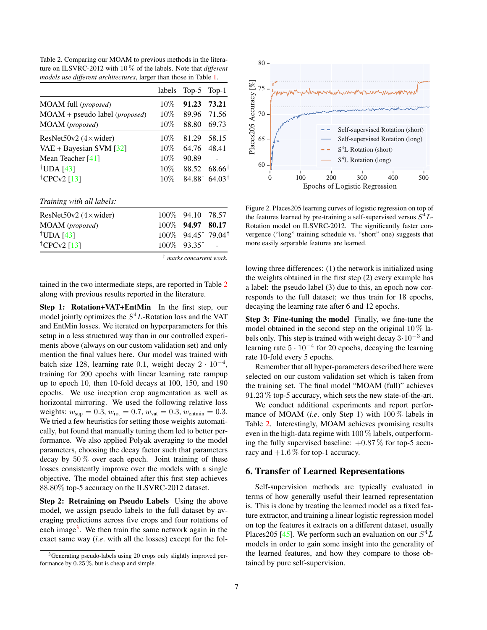<span id="page-6-3"></span><span id="page-6-0"></span>Table 2. Comparing our MOAM to previous methods in the literature on ILSVRC-2012 with 10 % of the labels. Note that *different models use different architectures*, larger than those in Table [1.](#page-4-0)

|                                           | labels | $Top-5$ Top-1 |                                      |
|-------------------------------------------|--------|---------------|--------------------------------------|
| MOAM full (proposed)                      | $10\%$ | 91.23         | 73.21                                |
| $MOAM +$ pseudo label ( <i>proposed</i> ) | 10%    | 89.96         | 71.56                                |
| MOAM (proposed)                           | $10\%$ | 88.80         | 69.73                                |
| ResNet50v2 $(4 \times$ wider)             | $10\%$ | 81.29         | 58.15                                |
| VAE + Bayesian SVM [32]                   | 10%    | 64.76         | 48.41                                |
| Mean Teacher $[41]$                       | 10%    | 90.89         |                                      |
| <sup>†</sup> UDA [43]                     | 10%    |               | $88.52^{\dagger}$ 68.66 <sup>†</sup> |
| <sup>†</sup> CPC $v2$ [13]                | 10%    |               | $84.88^{\dagger}$ 64.03 <sup>†</sup> |
|                                           |        |               |                                      |

*Training with all labels:*

| ResNet50v2 $(4 \times$ wider) | 100\% 94.10 78.57                             |  |
|-------------------------------|-----------------------------------------------|--|
| MOAM (proposed)               | 100\% 94.97 80.17                             |  |
| <sup>†</sup> UDA [43]         | $100\%$ 94.45 <sup>†</sup> 79.04 <sup>†</sup> |  |
| <sup>†</sup> CPCv2 [13]       | $100\%$ 93.35 <sup>†</sup> -                  |  |

† *marks concurrent work.*

tained in the two intermediate steps, are reported in Table [2](#page-6-0) along with previous results reported in the literature.

Step 1: Rotation+VAT+EntMin In the first step, our model jointly optimizes the  $S<sup>4</sup>L$ -Rotation loss and the VAT and EntMin losses. We iterated on hyperparameters for this setup in a less structured way than in our controlled experiments above (always on our custom validation set) and only mention the final values here. Our model was trained with batch size 128, learning rate 0.1, weight decay  $2 \cdot 10^{-4}$ , training for 200 epochs with linear learning rate rampup up to epoch 10, then 10-fold decays at 100, 150, and 190 epochs. We use inception crop augmentation as well as horizontal mirroring. We used the following relative loss weights:  $w_{\text{sup}} = 0.3$ ,  $w_{\text{rot}} = 0.7$ ,  $w_{\text{vat}} = 0.3$ ,  $w_{\text{entmin}} = 0.3$ . We tried a few heuristics for setting those weights automatically, but found that manually tuning them led to better performance. We also applied Polyak averaging to the model parameters, choosing the decay factor such that parameters decay by  $50\%$  over each epoch. Joint training of these losses consistently improve over the models with a single objective. The model obtained after this first step achieves 88.80% top-5 accuracy on the ILSVRC-2012 dataset.

Step 2: Retraining on Pseudo Labels Using the above model, we assign pseudo labels to the full dataset by averaging predictions across five crops and four rotations of each image<sup>[3](#page-6-1)</sup>. We then train the same network again in the exact same way (*i.e*. with all the losses) except for the fol-



<span id="page-6-2"></span>Figure 2. Places205 learning curves of logistic regression on top of the features learned by pre-training a self-supervised versus  $S^4L$ -Rotation model on ILSVRC-2012. The significantly faster convergence ("long" training schedule vs. "short" one) suggests that more easily separable features are learned.

lowing three differences: (1) the network is initialized using the weights obtained in the first step (2) every example has a label: the pseudo label (3) due to this, an epoch now corresponds to the full dataset; we thus train for 18 epochs, decaying the learning rate after 6 and 12 epochs.

Step 3: Fine-tuning the model Finally, we fine-tune the model obtained in the second step on the original  $10\%$  labels only. This step is trained with weight decay  $3 \cdot 10^{-3}$  and learning rate  $5 \cdot 10^{-4}$  for 20 epochs, decaying the learning rate 10-fold every 5 epochs.

Remember that all hyper-parameters described here were selected on our custom validation set which is taken from the training set. The final model "MOAM (full)" achieves 91.23 % top-5 accuracy, which sets the new state-of-the-art.

We conduct additional experiments and report performance of MOAM (*i.e*. only Step 1) with 100 % labels in Table [2.](#page-6-0) Interestingly, MOAM achieves promising results even in the high-data regime with 100 % labels, outperforming the fully supervised baseline:  $+0.87\%$  for top-5 accuracy and  $+1.6\%$  for top-1 accuracy.

## 6. Transfer of Learned Representations

Self-supervision methods are typically evaluated in terms of how generally useful their learned representation is. This is done by treating the learned model as a fixed feature extractor, and training a linear logistic regression model on top the features it extracts on a different dataset, usually Places 205 [\[45\]](#page-9-19). We perform such an evaluation on our  $S^4$ . models in order to gain some insight into the generality of the learned features, and how they compare to those obtained by pure self-supervision.

<span id="page-6-1"></span><sup>&</sup>lt;sup>3</sup>Generating pseudo-labels using 20 crops only slightly improved performance by 0.25 %, but is cheap and simple.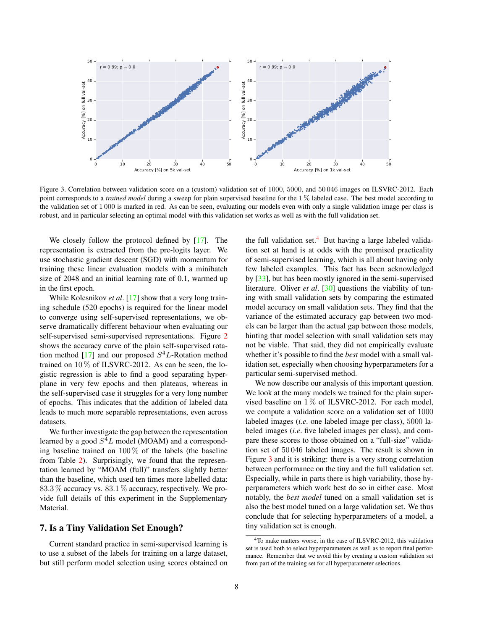<span id="page-7-3"></span>

<span id="page-7-2"></span>Figure 3. Correlation between validation score on a (custom) validation set of 1000, 5000, and 50 046 images on ILSVRC-2012. Each point corresponds to a *trained model* during a sweep for plain supervised baseline for the 1 % labeled case. The best model according to the validation set of 1 000 is marked in red. As can be seen, evaluating our models even with only a single validation image per class is robust, and in particular selecting an optimal model with this validation set works as well as with the full validation set.

We closely follow the protocol defined by [\[17\]](#page-8-3). The representation is extracted from the pre-logits layer. We use stochastic gradient descent (SGD) with momentum for training these linear evaluation models with a minibatch size of 2048 and an initial learning rate of 0.1, warmed up in the first epoch.

While Kolesnikov *et al.* [\[17\]](#page-8-3) show that a very long training schedule (520 epochs) is required for the linear model to converge using self-supervised representations, we observe dramatically different behaviour when evaluating our self-supervised semi-supervised representations. Figure [2](#page-6-2) shows the accuracy curve of the plain self-supervised rota-tion method [\[17\]](#page-8-3) and our proposed  $S<sup>4</sup>L$ -Rotation method trained on  $10\%$  of ILSVRC-2012. As can be seen, the logistic regression is able to find a good separating hyperplane in very few epochs and then plateaus, whereas in the self-supervised case it struggles for a very long number of epochs. This indicates that the addition of labeled data leads to much more separable representations, even across datasets.

We further investigate the gap between the representation learned by a good  $S^4L$  model (MOAM) and a corresponding baseline trained on  $100\%$  of the labels (the baseline from Table [2\)](#page-6-0). Surprisingly, we found that the representation learned by "MOAM (full)" transfers slightly better than the baseline, which used ten times more labelled data: 83.3 % accuracy vs. 83.1 % accuracy, respectively. We provide full details of this experiment in the Supplementary Material.

## <span id="page-7-0"></span>7. Is a Tiny Validation Set Enough?

Current standard practice in semi-supervised learning is to use a subset of the labels for training on a large dataset, but still perform model selection using scores obtained on the full validation set. $4$  But having a large labeled validation set at hand is at odds with the promised practicality of semi-supervised learning, which is all about having only few labeled examples. This fact has been acknowledged by [\[33\]](#page-9-2), but has been mostly ignored in the semi-supervised literature. Oliver *et al*. [\[30\]](#page-9-1) questions the viability of tuning with small validation sets by comparing the estimated model accuracy on small validation sets. They find that the variance of the estimated accuracy gap between two models can be larger than the actual gap between those models, hinting that model selection with small validation sets may not be viable. That said, they did not empirically evaluate whether it's possible to find the *best* model with a small validation set, especially when choosing hyperparameters for a particular semi-supervised method.

We now describe our analysis of this important question. We look at the many models we trained for the plain supervised baseline on  $1\%$  of ILSVRC-2012. For each model, we compute a validation score on a validation set of 1000 labeled images (*i.e*. one labeled image per class), 5000 labeled images (*i.e*. five labeled images per class), and compare these scores to those obtained on a "full-size" validation set of 50 046 labeled images. The result is shown in Figure [3](#page-7-2) and it is striking: there is a very strong correlation between performance on the tiny and the full validation set. Especially, while in parts there is high variability, those hyperparameters which work best do so in either case. Most notably, the *best model* tuned on a small validation set is also the best model tuned on a large validation set. We thus conclude that for selecting hyperparameters of a model, a tiny validation set is enough.

<span id="page-7-1"></span><sup>4</sup>To make matters worse, in the case of ILSVRC-2012, this validation set is used both to select hyperparameters as well as to report final performance. Remember that we avoid this by creating a custom validation set from part of the training set for all hyperparameter selections.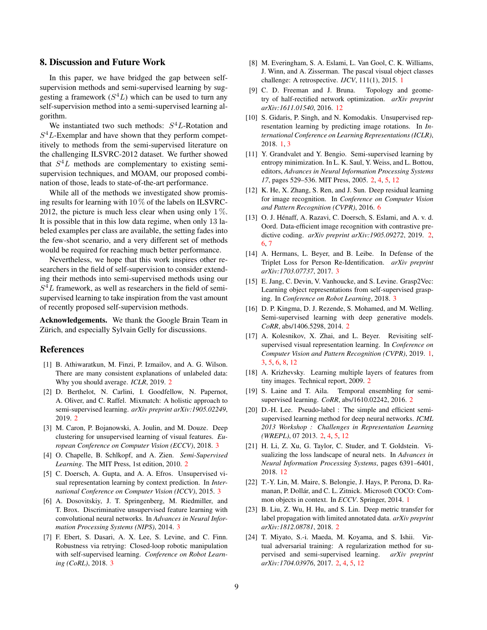## 8. Discussion and Future Work

In this paper, we have bridged the gap between selfsupervision methods and semi-supervised learning by suggesting a framework  $(S^4L)$  which can be used to turn any self-supervision method into a semi-supervised learning algorithm.

We instantiated two such methods:  $S^4L$ -Rotation and  $S<sup>4</sup>L$ -Exemplar and have shown that they perform competitively to methods from the semi-supervised literature on the challenging ILSVRC-2012 dataset. We further showed that  $S<sup>4</sup>L$  methods are complementary to existing semisupervision techniques, and MOAM, our proposed combination of those, leads to state-of-the-art performance.

While all of the methods we investigated show promising results for learning with 10 % of the labels on ILSVRC-2012, the picture is much less clear when using only  $1\%$ . It is possible that in this low data regime, when only 13 labeled examples per class are available, the setting fades into the few-shot scenario, and a very different set of methods would be required for reaching much better performance.

Nevertheless, we hope that this work inspires other researchers in the field of self-supervision to consider extending their methods into semi-supervised methods using our  $S<sup>4</sup>L$  framework, as well as researchers in the field of semisupervised learning to take inspiration from the vast amount of recently proposed self-supervision methods.

Acknowledgements. We thank the Google Brain Team in Zürich, and especially Sylvain Gelly for discussions.

## References

- <span id="page-8-8"></span>[1] B. Athiwaratkun, M. Finzi, P. Izmailov, and A. G. Wilson. There are many consistent explanations of unlabeled data: Why you should average. *ICLR*, 2019. [2](#page-1-0)
- <span id="page-8-11"></span>[2] D. Berthelot, N. Carlini, I. Goodfellow, N. Papernot, A. Oliver, and C. Raffel. Mixmatch: A holistic approach to semi-supervised learning. *arXiv preprint arXiv:1905.02249*, 2019. [2](#page-1-0)
- <span id="page-8-19"></span>[3] M. Caron, P. Bojanowski, A. Joulin, and M. Douze. Deep clustering for unsupervised learning of visual features. *European Conference on Computer Vision (ECCV)*, 2018. [3](#page-2-2)
- <span id="page-8-4"></span>[4] O. Chapelle, B. Schlkopf, and A. Zien. *Semi-Supervised Learning*. The MIT Press, 1st edition, 2010. [2](#page-1-0)
- <span id="page-8-17"></span>[5] C. Doersch, A. Gupta, and A. A. Efros. Unsupervised visual representation learning by context prediction. In *International Conference on Computer Vision (ICCV)*, 2015. [3](#page-2-2)
- <span id="page-8-18"></span>[6] A. Dosovitskiy, J. T. Springenberg, M. Riedmiller, and T. Brox. Discriminative unsupervised feature learning with convolutional neural networks. In *Advances in Neural Information Processing Systems (NIPS)*, 2014. [3](#page-2-2)
- <span id="page-8-16"></span>[7] F. Ebert, S. Dasari, A. X. Lee, S. Levine, and C. Finn. Robustness via retrying: Closed-loop robotic manipulation with self-supervised learning. *Conference on Robot Learning (CoRL)*, 2018. [3](#page-2-2)
- <span id="page-8-1"></span>[8] M. Everingham, S. A. Eslami, L. Van Gool, C. K. Williams, J. Winn, and A. Zisserman. The pascal visual object classes challenge: A retrospective. *IJCV*, 111(1), 2015. [1](#page-0-1)
- <span id="page-8-23"></span>[9] C. D. Freeman and J. Bruna. Topology and geometry of half-rectified network optimization. *arXiv preprint arXiv:1611.01540*, 2016. [12](#page-11-1)
- <span id="page-8-2"></span>[10] S. Gidaris, P. Singh, and N. Komodakis. Unsupervised representation learning by predicting image rotations. In *International Conference on Learning Representations (ICLR)*, 2018. [1,](#page-0-1) [3](#page-2-2)
- <span id="page-8-10"></span>[11] Y. Grandvalet and Y. Bengio. Semi-supervised learning by entropy minimization. In L. K. Saul, Y. Weiss, and L. Bottou, editors, *Advances in Neural Information Processing Systems 17*, pages 529–536. MIT Press, 2005. [2,](#page-1-0) [4,](#page-3-1) [5,](#page-4-3) [12](#page-11-1)
- <span id="page-8-21"></span>[12] K. He, X. Zhang, S. Ren, and J. Sun. Deep residual learning for image recognition. In *Conference on Computer Vision and Pattern Recognition (CVPR)*, 2016. [6](#page-5-2)
- <span id="page-8-14"></span>[13] O. J. Hénaff, A. Razavi, C. Doersch, S. Eslami, and A. v. d. Oord. Data-efficient image recognition with contrastive predictive coding. *arXiv preprint arXiv:1905.09272*, 2019. [2,](#page-1-0) [6,](#page-5-2) [7](#page-6-3)
- <span id="page-8-20"></span>[14] A. Hermans, L. Beyer, and B. Leibe. In Defense of the Triplet Loss for Person Re-Identification. *arXiv preprint arXiv:1703.07737*, 2017. [3](#page-2-2)
- <span id="page-8-15"></span>[15] E. Jang, C. Devin, V. Vanhoucke, and S. Levine. Grasp2Vec: Learning object representations from self-supervised grasping. In *Conference on Robot Learning*, 2018. [3](#page-2-2)
- <span id="page-8-5"></span>[16] D. P. Kingma, D. J. Rezende, S. Mohamed, and M. Welling. Semi-supervised learning with deep generative models. *CoRR*, abs/1406.5298, 2014. [2](#page-1-0)
- <span id="page-8-3"></span>[17] A. Kolesnikov, X. Zhai, and L. Beyer. Revisiting selfsupervised visual representation learning. In *Conference on Computer Vision and Pattern Recognition (CVPR)*, 2019. [1,](#page-0-1) [3,](#page-2-2) [5,](#page-4-3) [6,](#page-5-2) [8,](#page-7-3) [12](#page-11-1)
- <span id="page-8-13"></span>[18] A. Krizhevsky. Learning multiple layers of features from tiny images. Technical report, 2009. [2](#page-1-0)
- <span id="page-8-6"></span>[19] S. Laine and T. Aila. Temporal ensembling for semisupervised learning. *CoRR*, abs/1610.02242, 2016. [2](#page-1-0)
- <span id="page-8-9"></span>[20] D.-H. Lee. Pseudo-label : The simple and efficient semisupervised learning method for deep neural networks. *ICML 2013 Workshop : Challenges in Representation Learning (WREPL)*, 07 2013. [2,](#page-1-0) [4,](#page-3-1) [5,](#page-4-3) [12](#page-11-1)
- <span id="page-8-22"></span>[21] H. Li, Z. Xu, G. Taylor, C. Studer, and T. Goldstein. Visualizing the loss landscape of neural nets. In *Advances in Neural Information Processing Systems*, pages 6391–6401, 2018. [12](#page-11-1)
- <span id="page-8-0"></span>[22] T.-Y. Lin, M. Maire, S. Belongie, J. Hays, P. Perona, D. Ramanan, P. Dollár, and C. L. Zitnick. Microsoft COCO: Common objects in context. In *ECCV*. Springer, 2014. [1](#page-0-1)
- <span id="page-8-12"></span>[23] B. Liu, Z. Wu, H. Hu, and S. Lin. Deep metric transfer for label propagation with limited annotated data. *arXiv preprint arXiv:1812.08781*, 2018. [2](#page-1-0)
- <span id="page-8-7"></span>[24] T. Miyato, S.-i. Maeda, M. Koyama, and S. Ishii. Virtual adversarial training: A regularization method for supervised and semi-supervised learning. *arXiv preprint arXiv:1704.03976*, 2017. [2,](#page-1-0) [4,](#page-3-1) [5,](#page-4-3) [12](#page-11-1)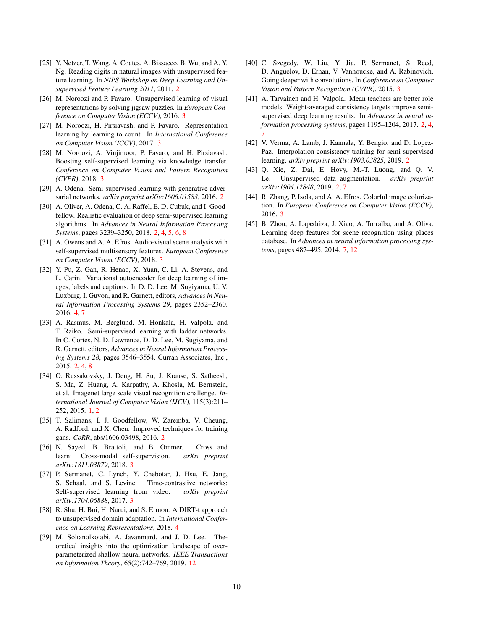- <span id="page-9-7"></span>[25] Y. Netzer, T. Wang, A. Coates, A. Bissacco, B. Wu, and A. Y. Ng. Reading digits in natural images with unsupervised feature learning. In *NIPS Workshop on Deep Learning and Unsupervised Feature Learning 2011*, 2011. [2](#page-1-0)
- <span id="page-9-12"></span>[26] M. Noroozi and P. Favaro. Unsupervised learning of visual representations by solving jigsaw puzzles. In *European Conference on Computer Vision (ECCV)*, 2016. [3](#page-2-2)
- <span id="page-9-15"></span>[27] M. Noroozi, H. Pirsiavash, and P. Favaro. Representation learning by learning to count. In *International Conference on Computer Vision (ICCV)*, 2017. [3](#page-2-2)
- <span id="page-9-13"></span>[28] M. Noroozi, A. Vinjimoor, P. Favaro, and H. Pirsiavash. Boosting self-supervised learning via knowledge transfer. *Conference on Computer Vision and Pattern Recognition (CVPR)*, 2018. [3](#page-2-2)
- <span id="page-9-3"></span>[29] A. Odena. Semi-supervised learning with generative adversarial networks. *arXiv preprint arXiv:1606.01583*, 2016. [2](#page-1-0)
- <span id="page-9-1"></span>[30] A. Oliver, A. Odena, C. A. Raffel, E. D. Cubuk, and I. Goodfellow. Realistic evaluation of deep semi-supervised learning algorithms. In *Advances in Neural Information Processing Systems*, pages 3239–3250, 2018. [2,](#page-1-0) [4,](#page-3-1) [5,](#page-4-3) [6,](#page-5-2) [8](#page-7-3)
- <span id="page-9-10"></span>[31] A. Owens and A. A. Efros. Audio-visual scene analysis with self-supervised multisensory features. *European Conference on Computer Vision (ECCV)*, 2018. [3](#page-2-2)
- <span id="page-9-18"></span>[32] Y. Pu, Z. Gan, R. Henao, X. Yuan, C. Li, A. Stevens, and L. Carin. Variational autoencoder for deep learning of images, labels and captions. In D. D. Lee, M. Sugiyama, U. V. Luxburg, I. Guyon, and R. Garnett, editors, *Advances in Neural Information Processing Systems 29*, pages 2352–2360. 2016. [4,](#page-3-1) [7](#page-6-3)
- <span id="page-9-2"></span>[33] A. Rasmus, M. Berglund, M. Honkala, H. Valpola, and T. Raiko. Semi-supervised learning with ladder networks. In C. Cortes, N. D. Lawrence, D. D. Lee, M. Sugiyama, and R. Garnett, editors, *Advances in Neural Information Processing Systems 28*, pages 3546–3554. Curran Associates, Inc., 2015. [2,](#page-1-0) [4,](#page-3-1) [8](#page-7-3)
- <span id="page-9-0"></span>[34] O. Russakovsky, J. Deng, H. Su, J. Krause, S. Satheesh, S. Ma, Z. Huang, A. Karpathy, A. Khosla, M. Bernstein, et al. Imagenet large scale visual recognition challenge. *International Journal of Computer Vision (IJCV)*, 115(3):211– 252, 2015. [1,](#page-0-1) [2](#page-1-0)
- <span id="page-9-4"></span>[35] T. Salimans, I. J. Goodfellow, W. Zaremba, V. Cheung, A. Radford, and X. Chen. Improved techniques for training gans. *CoRR*, abs/1606.03498, 2016. [2](#page-1-0)
- <span id="page-9-11"></span>[36] N. Sayed, B. Brattoli, and B. Ommer. Cross and learn: Cross-modal self-supervision. *arXiv preprint arXiv:1811.03879*, 2018. [3](#page-2-2)
- <span id="page-9-9"></span>[37] P. Sermanet, C. Lynch, Y. Chebotar, J. Hsu, E. Jang, S. Schaal, and S. Levine. Time-contrastive networks: Self-supervised learning from video. *arXiv preprint arXiv:1704.06888*, 2017. [3](#page-2-2)
- <span id="page-9-17"></span>[38] R. Shu, H. Bui, H. Narui, and S. Ermon. A DIRT-t approach to unsupervised domain adaptation. In *International Conference on Learning Representations*, 2018. [4](#page-3-1)
- <span id="page-9-20"></span>[39] M. Soltanolkotabi, A. Javanmard, and J. D. Lee. Theoretical insights into the optimization landscape of overparameterized shallow neural networks. *IEEE Transactions on Information Theory*, 65(2):742–769, 2019. [12](#page-11-1)
- <span id="page-9-16"></span>[40] C. Szegedy, W. Liu, Y. Jia, P. Sermanet, S. Reed, D. Anguelov, D. Erhan, V. Vanhoucke, and A. Rabinovich. Going deeper with convolutions. In *Conference on Computer Vision and Pattern Recognition (CVPR)*, 2015. [3](#page-2-2)
- <span id="page-9-5"></span>[41] A. Tarvainen and H. Valpola. Mean teachers are better role models: Weight-averaged consistency targets improve semisupervised deep learning results. In *Advances in neural information processing systems*, pages 1195–1204, 2017. [2,](#page-1-0) [4,](#page-3-1) [7](#page-6-3)
- <span id="page-9-6"></span>[42] V. Verma, A. Lamb, J. Kannala, Y. Bengio, and D. Lopez-Paz. Interpolation consistency training for semi-supervised learning. *arXiv preprint arXiv:1903.03825*, 2019. [2](#page-1-0)
- <span id="page-9-8"></span>[43] Q. Xie, Z. Dai, E. Hovy, M.-T. Luong, and Q. V. Le. Unsupervised data augmentation. *arXiv preprint arXiv:1904.12848*, 2019. [2,](#page-1-0) [7](#page-6-3)
- <span id="page-9-14"></span>[44] R. Zhang, P. Isola, and A. A. Efros. Colorful image colorization. In *European Conference on Computer Vision (ECCV)*, 2016. [3](#page-2-2)
- <span id="page-9-19"></span>[45] B. Zhou, A. Lapedriza, J. Xiao, A. Torralba, and A. Oliva. Learning deep features for scene recognition using places database. In *Advances in neural information processing systems*, pages 487–495, 2014. [7,](#page-6-3) [12](#page-11-1)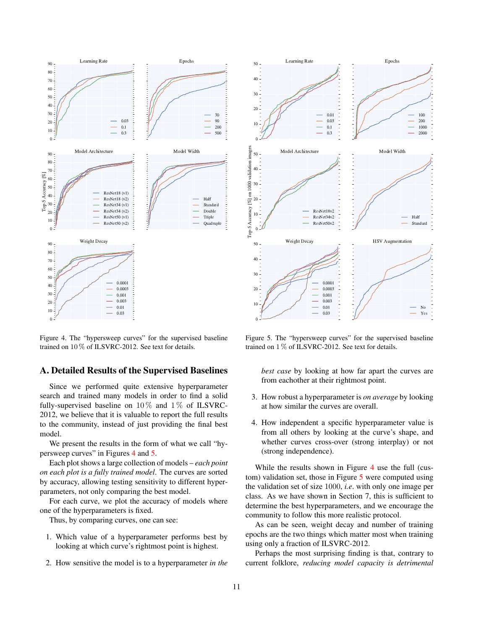

<span id="page-10-0"></span>Figure 4. The "hypersweep curves" for the supervised baseline trained on 10 % of ILSVRC-2012. See text for details.

## A. Detailed Results of the Supervised Baselines

Since we performed quite extensive hyperparameter search and trained many models in order to find a solid fully-supervised baseline on  $10\%$  and  $1\%$  of ILSVRC-2012, we believe that it is valuable to report the full results to the community, instead of just providing the final best model.

We present the results in the form of what we call "hypersweep curves" in Figures [4](#page-10-0) and [5.](#page-10-1)

Each plot shows a large collection of models – *each point on each plot is a fully trained model*. The curves are sorted by accuracy, allowing testing sensitivity to different hyperparameters, not only comparing the best model.

For each curve, we plot the accuracy of models where one of the hyperparameters is fixed.

Thus, by comparing curves, one can see:

- 1. Which value of a hyperparameter performs best by looking at which curve's rightmost point is highest.
- 2. How sensitive the model is to a hyperparameter *in the*



<span id="page-10-1"></span>Figure 5. The "hypersweep curves" for the supervised baseline trained on 1 % of ILSVRC-2012. See text for details.

*best case* by looking at how far apart the curves are from eachother at their rightmost point.

- 3. How robust a hyperparameter is *on average* by looking at how similar the curves are overall.
- 4. How independent a specific hyperparameter value is from all others by looking at the curve's shape, and whether curves cross-over (strong interplay) or not (strong independence).

While the results shown in Figure [4](#page-10-0) use the full (custom) validation set, those in Figure [5](#page-10-1) were computed using the validation set of size 1000, *i.e*. with only one image per class. As we have shown in Section 7, this is sufficient to determine the best hyperparameters, and we encourage the community to follow this more realistic protocol.

As can be seen, weight decay and number of training epochs are the two things which matter most when training using only a fraction of ILSVRC-2012.

Perhaps the most surprising finding is that, contrary to current folklore, *reducing model capacity is detrimental*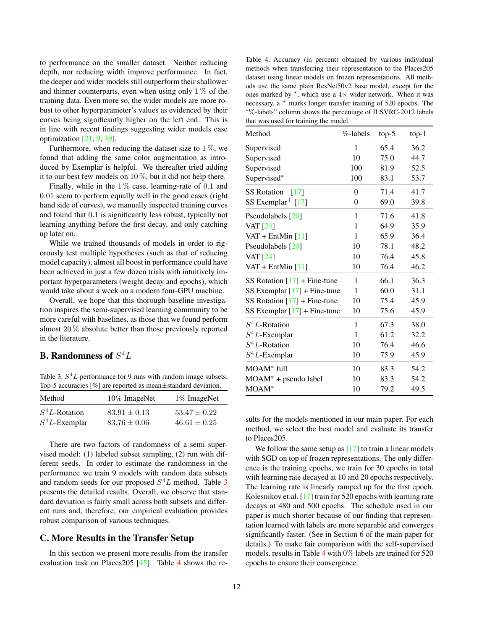<span id="page-11-1"></span>to performance on the smaller dataset. Neither reducing depth, nor reducing width improve performance. In fact, the deeper and wider models still outperform their shallower and thinner counterparts, even when using only  $1\%$  of the training data. Even more so, the wider models are more robust to other hyperparameter's values as evidenced by their curves being significantly higher on the left end. This is in line with recent findings suggesting wider models ease optimization [\[21,](#page-8-22) [9,](#page-8-23) [39\]](#page-9-20).

Furthermore, when reducing the dataset size to  $1\%$ , we found that adding the same color augmentation as introduced by Exemplar is helpful. We thereafter tried adding it to our best few models on  $10\%$ , but it did not help there.

Finally, while in the  $1\%$  case, learning-rate of 0.1 and 0.01 seem to perform equally well in the good cases (right hand side of curves), we manually inspected training curves and found that 0.1 is significantly less robust, typically not learning anything before the first decay, and only catching up later on.

While we trained thousands of models in order to rigorously test multiple hypotheses (such as that of reducing model capacity), almost all boost in performance could have been achieved in just a few dozen trials with intuitively important hyperparameters (weight decay and epochs), which would take about a week on a modern four-GPU machine.

Overall, we hope that this thorough baseline investigation inspires the semi-supervised learning community to be more careful with baselines, as those that we found perform almost 20 % absolute better than those previously reported in the literature.

## <span id="page-11-0"></span>**B.** Randomness of  $S^4L$

<span id="page-11-2"></span>Table 3.  $S<sup>4</sup>L$  performance for 9 runs with random image subsets. Top-5 accuracies [%] are reported as mean±standard deviation.

|                  | 10% ImageNet     | 1% ImageNet      |
|------------------|------------------|------------------|
| $S^4L$ -Rotation | $83.91 \pm 0.13$ | $53.47 \pm 0.22$ |
| $S^4L$ -Exemplar | $83.76 \pm 0.06$ | $46.61 \pm 0.25$ |

There are two factors of randomness of a semi supervised model: (1) labeled subset sampling, (2) run with different seeds. In order to estimate the randomness in the performance we train 9 models with random data subsets and random seeds for our proposed  $S<sup>4</sup>L$  method. Table [3](#page-11-2) presents the detailed results. Overall, we observe that standard deviation is fairly small across both subsets and different runs and, therefore, our empirical evaluation provides robust comparison of various techniques.

## C. More Results in the Transfer Setup

In this section we present more results from the transfer evaluation task on Places205 [\[45\]](#page-9-19). Table [4](#page-11-3) shows the re-

<span id="page-11-3"></span>Table 4. Accuracy (in percent) obtained by various individual methods when transferring their representation to the Places205 dataset using linear models on frozen representations. All methods use the same plain ResNet50v2 base model, except for the ones marked by  $*$ , which use a  $4\times$  wider network. When it was necessary,  $a<sup>+</sup>$  marks longer transfer training of 520 epochs. The "%-labels" column shows the percentage of ILSVRC-2012 labels that was used for training the model.

| Method                         | $%$ -labels | $top-5$ | $top-1$ |
|--------------------------------|-------------|---------|---------|
| Supervised                     | 1           | 65.4    | 36.2    |
| Supervised                     | 10          | 75.0    | 44.7    |
| Supervised                     | 100         | 81.9    | 52.5    |
| Supervised*                    | 100         | 83.1    | 53.7    |
| SS Rotation <sup>+</sup> [17]  | $\theta$    | 71.4    | 41.7    |
| SS Exemplar <sup>+</sup> [17]  | 0           | 69.0    | 39.8    |
| Pseudolabels [20]              | 1           | 71.6    | 41.8    |
| <b>VAT</b> [24]                | 1           | 64.9    | 35.9    |
| VAT + EntMin $[11]$            | 1           | 65.9    | 36.4    |
| Pseudolabels [20]              | 10          | 78.1    | 48.2    |
| <b>VAT</b> [24]                | 10          | 76.4    | 45.8    |
| VAT + EntMin $[11]$            | 10          | 76.4    | 46.2    |
| SS Rotation $[17]$ + Fine-tune | 1           | 66.1    | 36.3    |
| SS Exemplar $[17]$ + Fine-tune | 1           | 60.0    | 31.1    |
| SS Rotation $[17]$ + Fine-tune | 10          | 75.4    | 45.9    |
| SS Exemplar $[17]$ + Fine-tune | 10          | 75.6    | 45.9    |
| $S^4L$ -Rotation               | 1           | 67.3    | 38.0    |
| $S^4L$ -Exemplar               | 1           | 61.2    | 32.2    |
| $S^4L$ -Rotation               | 10          | 76.4    | 46.6    |
| $S^4L$ -Exemplar               | 10          | 75.9    | 45.9    |
| $MOAM^*$ full                  | 10          | 83.3    | 54.2    |
| $MOAM^* + pseudo$ label        | 10          | 83.3    | 54.2    |
| MOAM <sup>*</sup>              | 10          | 79.2    | 49.5    |

sults for the models mentioned in our main paper. For each method, we select the best model and evaluate its transfer to Places205.

We follow the same setup as  $[17]$  to train a linear models with SGD on top of frozen representations. The only difference is the training epochs, we train for 30 epochs in total with learning rate decayed at 10 and 20 epochs respectively. The learning rate is linearly ramped up for the first epoch. Kolesnikov et.al. [\[17\]](#page-8-3) train for 520 epochs with learning rate decays at 480 and 500 epochs. The schedule used in our paper is much shorter because of our finding that representation learned with labels are more separable and converges significantly faster. (See in Section 6 of the main paper for details.) To make fair comparison with the self-supervised models, results in Table [4](#page-11-3) with 0% labels are trained for 520 epochs to ensure their convergence.